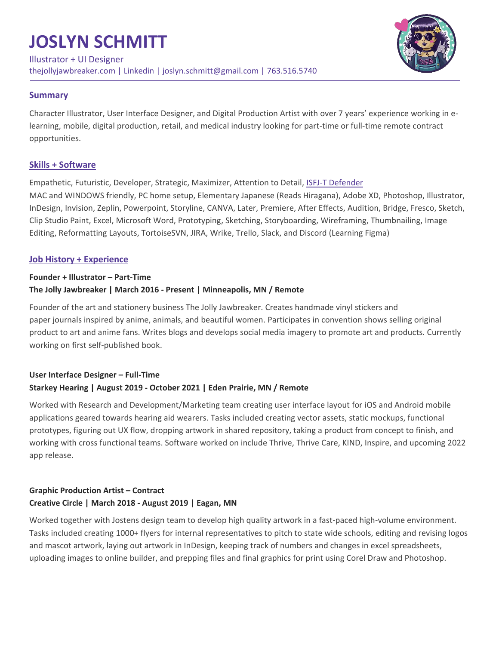# **JOSLYN SCHMITT**



### **Summary**

Character Illustrator, User Interface Designer, and Digital Production Artist with over 7 years' experience working in elearning, mobile, digital production, retail, and medical industry looking for part-time or full-time remote contract opportunities.

## **Skills + Software**

Empathetic, Futuristic, Developer, Strategic, Maximizer, Attention to Detail, [ISFJ-T Defender](https://www.16personalities.com/isfj-personality) MAC and WINDOWS friendly, PC home setup, Elementary Japanese (Reads Hiragana), Adobe XD, Photoshop, Illustrator, InDesign, Invision, Zeplin, Powerpoint, Storyline, CANVA, Later, Premiere, After Effects, Audition, Bridge, Fresco, Sketch, Clip Studio Paint, Excel, Microsoft Word, Prototyping, Sketching, Storyboarding, Wireframing, Thumbnailing, Image Editing, Reformatting Layouts, TortoiseSVN, JIRA, Wrike, Trello, Slack, and Discord (Learning Figma)

#### **Job History + Experience**

## **Founder + Illustrator – Part-Time The Jolly Jawbreaker | March 2016 - Present | Minneapolis, MN / Remote**

Founder of the art and stationery business The Jolly Jawbreaker. Creates handmade vinyl stickers and paper journals inspired by anime, animals, and beautiful women. Participates in convention shows selling original product to art and anime fans. Writes blogs and develops social media imagery to promote art and products. Currently working on first self-published book.

## **User Interface Designer – Full-Time Starkey Hearing | August 2019 - October 2021 | Eden Prairie, MN / Remote**

Worked with Research and Development/Marketing team creating user interface layout for iOS and Android mobile applications geared towards hearing aid wearers. Tasks included creating vector assets, static mockups, functional prototypes, figuring out UX flow, dropping artwork in shared repository, taking a product from concept to finish, and working with cross functional teams. Software worked on include Thrive, Thrive Care, KIND, Inspire, and upcoming 2022 app release.

## **Graphic Production Artist – Contract Creative Circle | March 2018 - August 2019 | Eagan, MN**

Worked together with Jostens design team to develop high quality artwork in a fast-paced high-volume environment. Tasks included creating 1000+ flyers for internal representatives to pitch to state wide schools, editing and revising logos and mascot artwork, laying out artwork in InDesign, keeping track of numbers and changes in excel spreadsheets, uploading images to online builder, and prepping files and final graphics for print using Corel Draw and Photoshop.